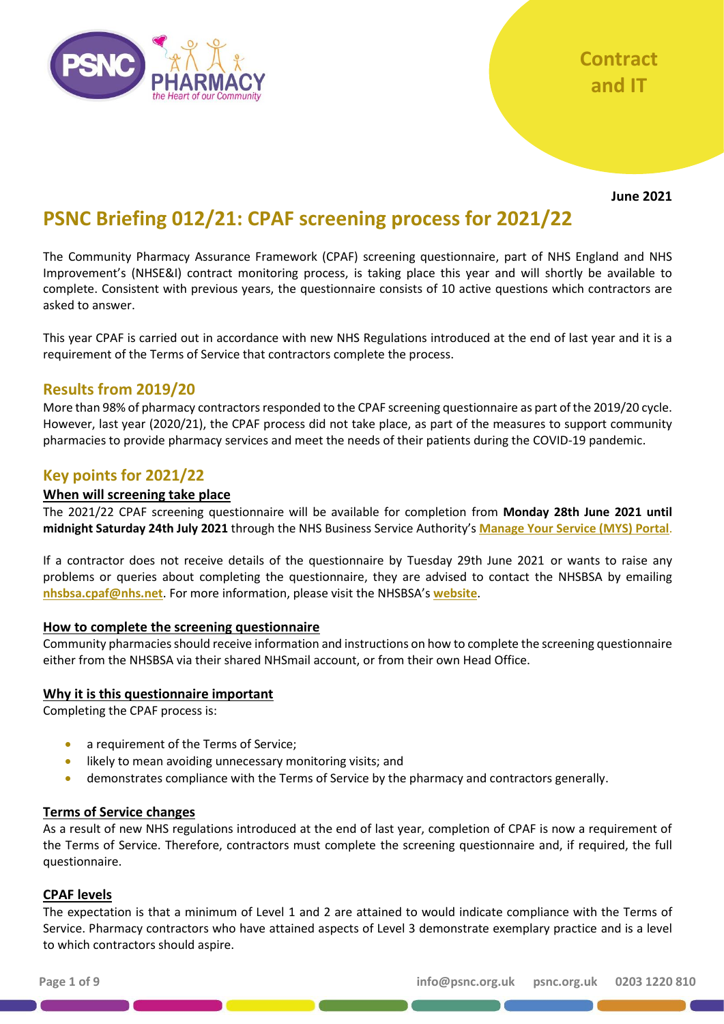

**June 2021**

# **PSNC Briefing 012/21: CPAF screening process for 2021/22**

The Community Pharmacy Assurance Framework (CPAF) screening questionnaire, part of NHS England and NHS Improvement's (NHSE&I) contract monitoring process, is taking place this year and will shortly be available to complete. Consistent with previous years, the questionnaire consists of 10 active questions which contractors are asked to answer.

This year CPAF is carried out in accordance with new NHS Regulations introduced at the end of last year and it is a requirement of the Terms of Service that contractors complete the process.

### **Results from 2019/20**

More than 98% of pharmacy contractors responded to the CPAF screening questionnaire as part of the 2019/20 cycle. However, last year (2020/21), the CPAF process did not take place, as part of the measures to support community pharmacies to provide pharmacy services and meet the needs of their patients during the COVID-19 pandemic.

### **Key points for 2021/22**

#### **When will screening take place**

The 2021/22 CPAF screening questionnaire will be available for completion from **Monday 28th June 2021 until midnight Saturday 24th July 2021** through the NHS Business Service Authority's **[Manage Your Service \(MYS\)](https://www.nhsbsa.nhs.uk/pharmacies-gp-practices-and-appliance-contractors/dispensing-contractors-information/manage-your-service-mys) Portal**.

If a contractor does not receive details of the questionnaire by Tuesday 29th June 2021 or wants to raise any problems or queries about completing the questionnaire, they are advised to contact the NHSBSA by emailing **[nhsbsa.cpaf@nhs.net](mailto:nhsbsa.cpaf@nhs.net)**. For more information, please visit the NHSBSA's **[website](https://www.nhsbsa.nhs.uk/pharmacies-gp-practices-and-appliance-contractors/dispensing-contractors-information/community)**.

#### **How to complete the screening questionnaire**

Community pharmacies should receive information and instructions on how to complete the screening questionnaire either from the NHSBSA via their shared NHSmail account, or from their own Head Office.

#### **Why it is this questionnaire important**

Completing the CPAF process is:

- a requirement of the Terms of Service;
- likely to mean avoiding unnecessary monitoring visits; and
- demonstrates compliance with the Terms of Service by the pharmacy and contractors generally.

#### **Terms of Service changes**

As a result of new NHS regulations introduced at the end of last year, completion of CPAF is now a requirement of the Terms of Service. Therefore, contractors must complete the screening questionnaire and, if required, the full questionnaire.

#### **CPAF levels**

The expectation is that a minimum of Level 1 and 2 are attained to would indicate compliance with the Terms of Service. Pharmacy contractors who have attained aspects of Level 3 demonstrate exemplary practice and is a level to which contractors should aspire.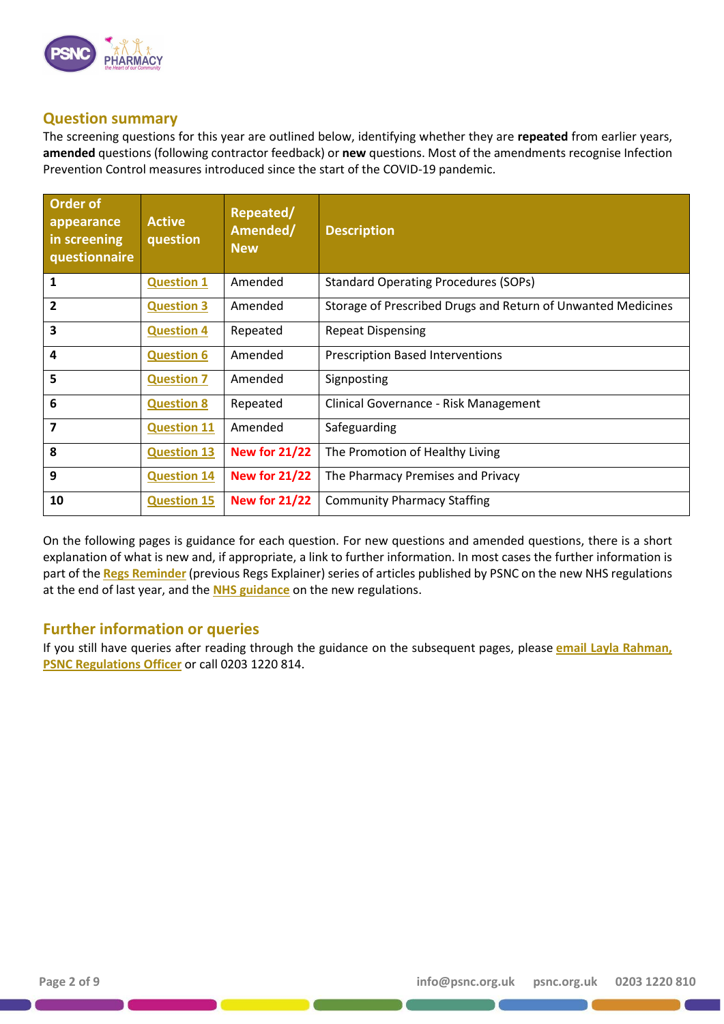

#### **Question summary**

The screening questions for this year are outlined below, identifying whether they are **repeated** from earlier years, **amended** questions (following contractor feedback) or **new** questions. Most of the amendments recognise Infection Prevention Control measures introduced since the start of the COVID-19 pandemic.

| <b>Order of</b><br>appearance<br>in screening<br>questionnaire | <b>Active</b><br>question | Repeated/<br>Amended/<br><b>New</b> | <b>Description</b>                                           |
|----------------------------------------------------------------|---------------------------|-------------------------------------|--------------------------------------------------------------|
| 1                                                              | <b>Question 1</b>         | Amended                             | <b>Standard Operating Procedures (SOPs)</b>                  |
| $\overline{2}$                                                 | <b>Question 3</b>         | Amended                             | Storage of Prescribed Drugs and Return of Unwanted Medicines |
| 3                                                              | <b>Question 4</b>         | Repeated                            | <b>Repeat Dispensing</b>                                     |
| 4                                                              | <b>Question 6</b>         | Amended                             | <b>Prescription Based Interventions</b>                      |
| 5                                                              | <b>Question 7</b>         | Amended                             | Signposting                                                  |
| 6                                                              | <b>Question 8</b>         | Repeated                            | Clinical Governance - Risk Management                        |
| 7                                                              | <b>Question 11</b>        | Amended                             | Safeguarding                                                 |
| 8                                                              | <b>Question 13</b>        | <b>New for 21/22</b>                | The Promotion of Healthy Living                              |
| 9                                                              | <b>Question 14</b>        | <b>New for 21/22</b>                | The Pharmacy Premises and Privacy                            |
| 10                                                             | <b>Question 15</b>        | <b>New for 21/22</b>                | <b>Community Pharmacy Staffing</b>                           |

On the following pages is guidance for each question. For new questions and amended questions, there is a short explanation of what is new and, if appropriate, a link to further information. In most cases the further information is part of the **[Regs Reminder](https://psnc.org.uk/contract-it/pharmacy-regulation/changes-to-the-terms-of-service-in-2020/)** (previous Regs Explainer) series of articles published by PSNC on the new NHS regulations at the end of last year, and the **[NHS guidance](https://www.england.nhs.uk/publication/guidance-on-the-national-health-service-charges-and-pharmaceutical-and-local-pharmaceutical-services-amendment-regulations-2020/)** on the new regulations.

### **Further information or queries**

If you still have queries after reading through the guidance on the subsequent pages, please **[email Layla Rahman,](mailto:layla.rahman@psnc.org.uk)  [PSNC Regulations Officer](mailto:layla.rahman@psnc.org.uk)** or call 0203 1220 814.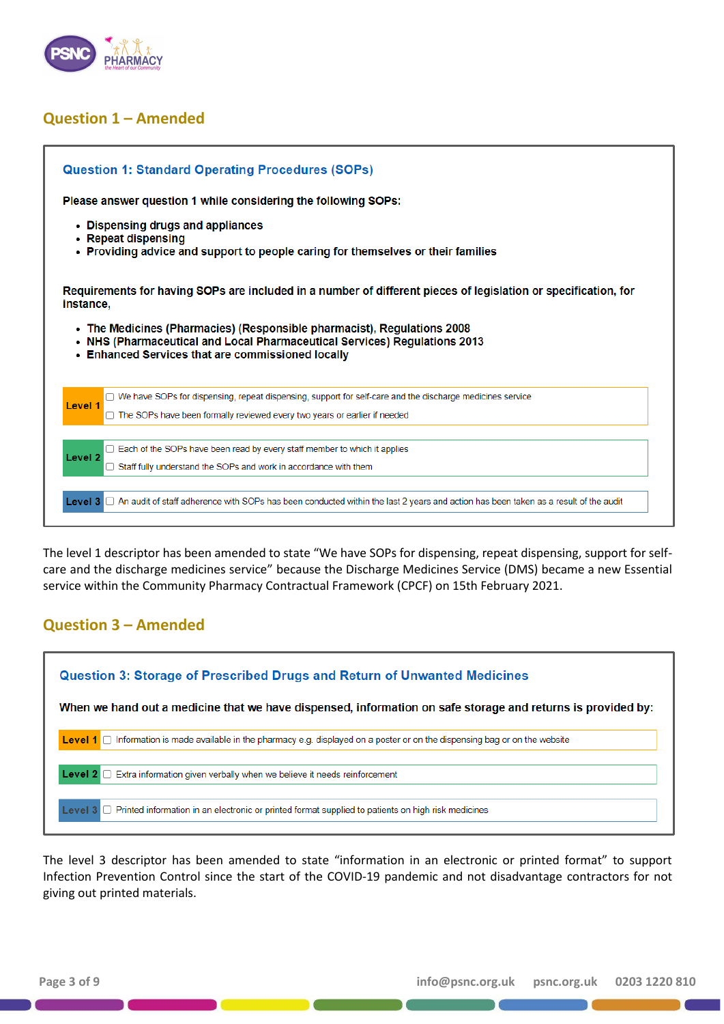

# <span id="page-2-0"></span>**Question 1 – Amended**

| <b>Question 1: Standard Operating Procedures (SOPs)</b>                                                                                                                                                 |
|---------------------------------------------------------------------------------------------------------------------------------------------------------------------------------------------------------|
| Please answer question 1 while considering the following SOPs:                                                                                                                                          |
| • Dispensing drugs and appliances<br>• Repeat dispensing<br>• Providing advice and support to people caring for themselves or their families                                                            |
| Requirements for having SOPs are included in a number of different pieces of legislation or specification, for<br>instance.                                                                             |
| • The Medicines (Pharmacies) (Responsible pharmacist), Regulations 2008<br>NHS (Pharmaceutical and Local Pharmaceutical Services) Regulations 2013<br>• Enhanced Services that are commissioned locally |
|                                                                                                                                                                                                         |
| $\Box$ We have SOPs for dispensing, repeat dispensing, support for self-care and the discharge medicines service                                                                                        |
| Level 1<br>$\Box$ The SOPs have been formally reviewed every two years or earlier if needed                                                                                                             |
| $\Box$ Each of the SOPs have been read by every staff member to which it applies                                                                                                                        |
| Level <sub>2</sub><br>Staff fully understand the SOPs and work in accordance with them                                                                                                                  |

The level 1 descriptor has been amended to state "We have SOPs for dispensing, repeat dispensing, support for selfcare and the discharge medicines service" because the Discharge Medicines Service (DMS) became a new Essential service within the Community Pharmacy Contractual Framework (CPCF) on 15th February 2021.

# <span id="page-2-1"></span>**Question 3 – Amended**



The level 3 descriptor has been amended to state "information in an electronic or printed format" to support Infection Prevention Control since the start of the COVID-19 pandemic and not disadvantage contractors for not giving out printed materials.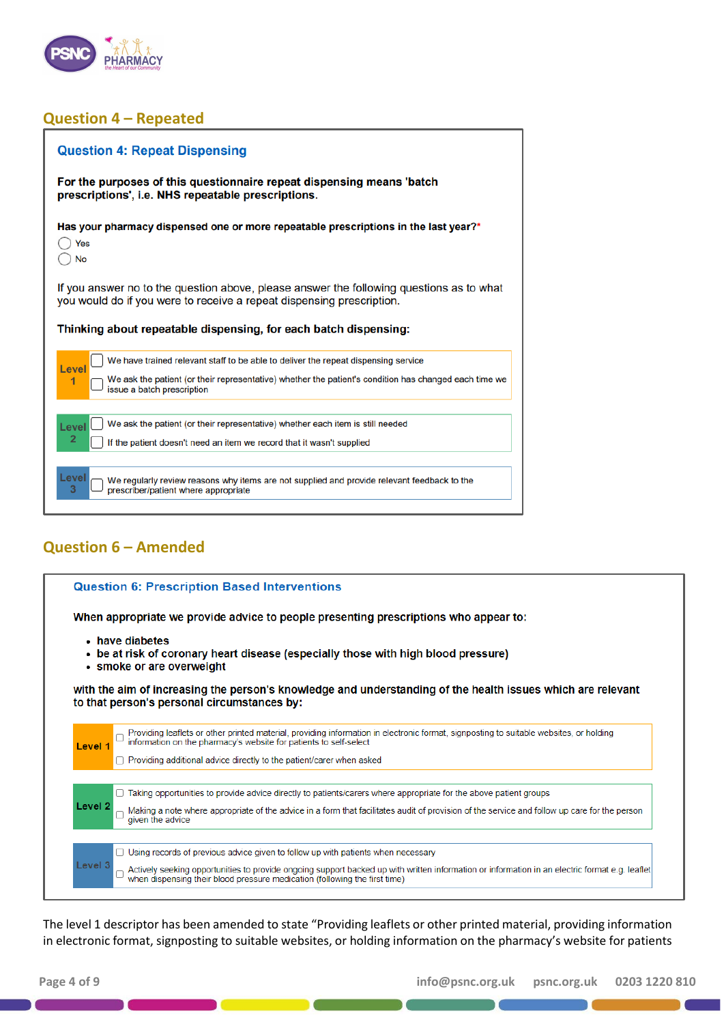

# <span id="page-3-0"></span>**Question 4 – Repeated**

| <b>Question 4: Repeat Dispensing</b>                                                                                                                              |
|-------------------------------------------------------------------------------------------------------------------------------------------------------------------|
| For the purposes of this questionnaire repeat dispensing means 'batch<br>prescriptions', i.e. NHS repeatable prescriptions.                                       |
| Has your pharmacy dispensed one or more repeatable prescriptions in the last year?*<br>Yes<br><b>No</b>                                                           |
| If you answer no to the question above, please answer the following questions as to what<br>you would do if you were to receive a repeat dispensing prescription. |
|                                                                                                                                                                   |
| Thinking about repeatable dispensing, for each batch dispensing:                                                                                                  |
| We have trained relevant staff to be able to deliver the repeat dispensing service                                                                                |
| Level<br>We ask the patient (or their representative) whether the patient's condition has changed each time we<br>1<br>issue a batch prescription                 |
| We ask the patient (or their representative) whether each item is still needed<br>Level                                                                           |
| 2<br>If the patient doesn't need an item we record that it wasn't supplied                                                                                        |

# <span id="page-3-1"></span>**Question 6 – Amended**

|         | <b>Question 6: Prescription Based Interventions</b>                                                                                                                                                      |
|---------|----------------------------------------------------------------------------------------------------------------------------------------------------------------------------------------------------------|
|         | When appropriate we provide advice to people presenting prescriptions who appear to:                                                                                                                     |
|         | • have diabetes<br>• be at risk of coronary heart disease (especially those with high blood pressure)<br>• smoke or are overweight                                                                       |
|         | with the aim of increasing the person's knowledge and understanding of the health issues which are relevant<br>to that person's personal circumstances by:                                               |
| Level 1 | Providing leaflets or other printed material, providing information in electronic format, signposting to suitable websites, or holding information on the pharmacy's website for patients to self-select |
|         | Providing additional advice directly to the patient/carer when asked                                                                                                                                     |
|         | Taking opportunities to provide advice directly to patients/carers where appropriate for the above patient groups                                                                                        |
|         |                                                                                                                                                                                                          |
| Level 2 | Making a note where appropriate of the advice in a form that facilitates audit of provision of the service and follow up care for the person<br>given the advice                                         |
|         | Using records of previous advice given to follow up with patients when necessary                                                                                                                         |

The level 1 descriptor has been amended to state "Providing leaflets or other printed material, providing information in electronic format, signposting to suitable websites, or holding information on the pharmacy's website for patients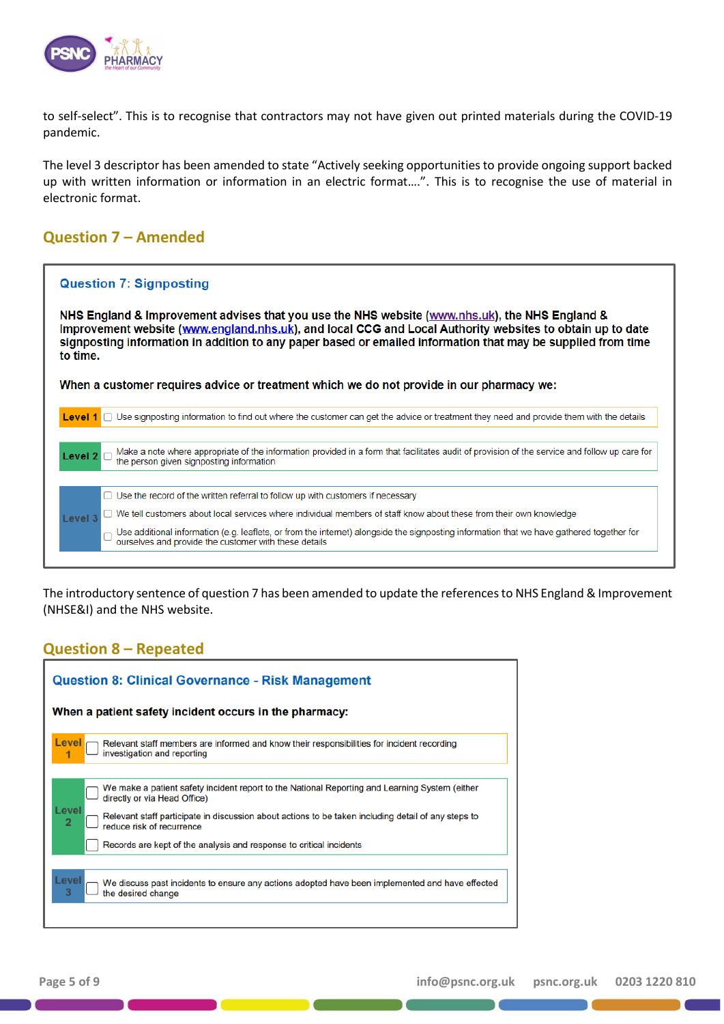

to self-select". This is to recognise that contractors may not have given out printed materials during the COVID-19 pandemic.

The level 3 descriptor has been amended to state "Actively seeking opportunities to provide ongoing support backed up with written information or information in an electric format….". This is to recognise the use of material in electronic format.

# <span id="page-4-0"></span>**Question 7 – Amended**

| <b>Question 7: Signposting</b>                                                                                                                                                                                                                                                                                                          |
|-----------------------------------------------------------------------------------------------------------------------------------------------------------------------------------------------------------------------------------------------------------------------------------------------------------------------------------------|
| NHS England & Improvement advises that you use the NHS website (www.nhs.uk), the NHS England &<br>Improvement website (www.england.nhs.uk), and local CCG and Local Authority websites to obtain up to date<br>signposting information in addition to any paper based or emailed information that may be supplied from time<br>to time. |
| When a customer requires advice or treatment which we do not provide in our pharmacy we:                                                                                                                                                                                                                                                |
| Level 1 □ Use signposting information to find out where the customer can get the advice or treatment they need and provide them with the details                                                                                                                                                                                        |
| Make a note where appropriate of the information provided in a form that facilitates audit of provision of the service and follow up care for<br>the person given signposting information<br>Level $2$ $\Box$                                                                                                                           |
| □ Use the record of the written referral to follow up with customers if necessary                                                                                                                                                                                                                                                       |
| We tell customers about local services where individual members of staff know about these from their own knowledge<br>Level 3                                                                                                                                                                                                           |
| Use additional information (e.g. leaflets, or from the internet) alongside the signposting information that we have gathered together for ourselves and provide the customer with these details                                                                                                                                         |
|                                                                                                                                                                                                                                                                                                                                         |

The introductory sentence of question 7 has been amended to update the references to NHS England & Improvement (NHSE&I) and the NHS website.

### <span id="page-4-1"></span>**Question 8 – Repeated**

| <b>Question 8: Clinical Governance - Risk Management</b>                                                                                                                                                                                                                                                                                                             |  |  |  |  |
|----------------------------------------------------------------------------------------------------------------------------------------------------------------------------------------------------------------------------------------------------------------------------------------------------------------------------------------------------------------------|--|--|--|--|
| When a patient safety incident occurs in the pharmacy:                                                                                                                                                                                                                                                                                                               |  |  |  |  |
| Level<br>Relevant staff members are informed and know their responsibilities for incident recording<br>investigation and reporting                                                                                                                                                                                                                                   |  |  |  |  |
| We make a patient safety incident report to the National Reporting and Learning System (either<br>directly or via Head Office)<br>Level<br>Relevant staff participate in discussion about actions to be taken including detail of any steps to<br>$\overline{2}$<br>reduce risk of recurrence<br>Records are kept of the analysis and response to critical incidents |  |  |  |  |
| Level<br>We discuss past incidents to ensure any actions adopted have been implemented and have effected<br>3<br>the desired change                                                                                                                                                                                                                                  |  |  |  |  |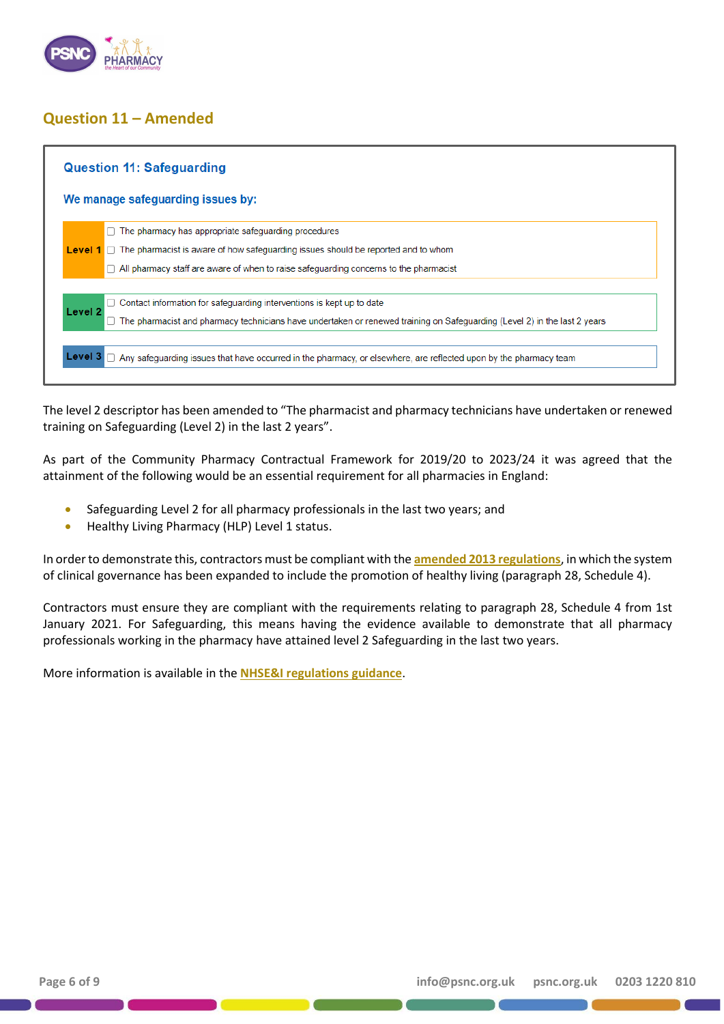

# <span id="page-5-0"></span>**Question 11 – Amended**

| The pharmacy has appropriate safeguarding procedures<br><b>Level 1</b> $\Box$ The pharmacist is aware of how safeguarding issues should be reported and to whom<br>All pharmacy staff are aware of when to raise safeguarding concerns to the pharmacist<br>Contact information for safeguarding interventions is kept up to date<br>Level <sub>2</sub><br>The pharmacist and pharmacy technicians have undertaken or renewed training on Safeguarding (Level 2) in the last 2 years |  |
|--------------------------------------------------------------------------------------------------------------------------------------------------------------------------------------------------------------------------------------------------------------------------------------------------------------------------------------------------------------------------------------------------------------------------------------------------------------------------------------|--|
|                                                                                                                                                                                                                                                                                                                                                                                                                                                                                      |  |
|                                                                                                                                                                                                                                                                                                                                                                                                                                                                                      |  |
|                                                                                                                                                                                                                                                                                                                                                                                                                                                                                      |  |
|                                                                                                                                                                                                                                                                                                                                                                                                                                                                                      |  |
|                                                                                                                                                                                                                                                                                                                                                                                                                                                                                      |  |
|                                                                                                                                                                                                                                                                                                                                                                                                                                                                                      |  |
|                                                                                                                                                                                                                                                                                                                                                                                                                                                                                      |  |
|                                                                                                                                                                                                                                                                                                                                                                                                                                                                                      |  |

The level 2 descriptor has been amended to "The pharmacist and pharmacy technicians have undertaken or renewed training on Safeguarding (Level 2) in the last 2 years".

As part of the Community Pharmacy Contractual Framework for 2019/20 to 2023/24 it was agreed that the attainment of the following would be an essential requirement for all pharmacies in England:

- Safeguarding Level 2 for all pharmacy professionals in the last two years; and
- Healthy Living Pharmacy (HLP) Level 1 status.

In order to demonstrate this, contractors must be compliant with the **[amended 2013 regulations](https://www.england.nhs.uk/publication/guidance-on-the-national-health-service-charges-and-pharmaceutical-and-local-pharmaceutical-services-amendment-regulations-2020/)**, in which the system of clinical governance has been expanded to include the promotion of healthy living (paragraph 28, Schedule 4).

Contractors must ensure they are compliant with the requirements relating to paragraph 28, Schedule 4 from 1st January 2021. For Safeguarding, this means having the evidence available to demonstrate that all pharmacy professionals working in the pharmacy have attained level 2 Safeguarding in the last two years.

More information is available in the **[NHSE&I regulations guidance](https://www.england.nhs.uk/publication/guidance-on-the-national-health-service-charges-and-pharmaceutical-and-local-pharmaceutical-services-amendment-regulations-2020/)**.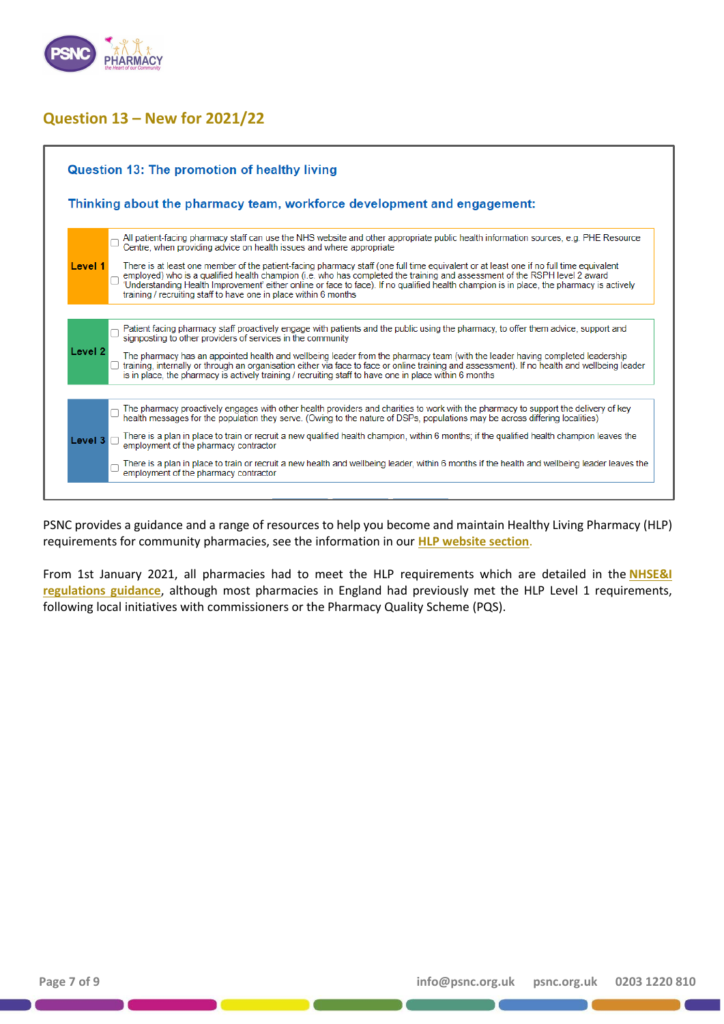

# <span id="page-6-0"></span>**Question 13 – New for 2021/22**



PSNC provides a guidance and a range of resources to help you become and maintain Healthy Living Pharmacy (HLP) requirements for community pharmacies, see the information in our **[HLP website section](https://psnc.org.uk/services-commissioning/essential-services/healthy-living-pharmacies/)**.

From 1st January 2021, all pharmacies had to meet the HLP requirements which are detailed in the **[NHSE&I](https://www.england.nhs.uk/publication/guidance-on-the-national-health-service-charges-and-pharmaceutical-and-local-pharmaceutical-services-amendment-regulations-2020/)  [regulations guidance](https://www.england.nhs.uk/publication/guidance-on-the-national-health-service-charges-and-pharmaceutical-and-local-pharmaceutical-services-amendment-regulations-2020/)**, although most pharmacies in England had previously met the HLP Level 1 requirements, following local initiatives with commissioners or the Pharmacy Quality Scheme (PQS).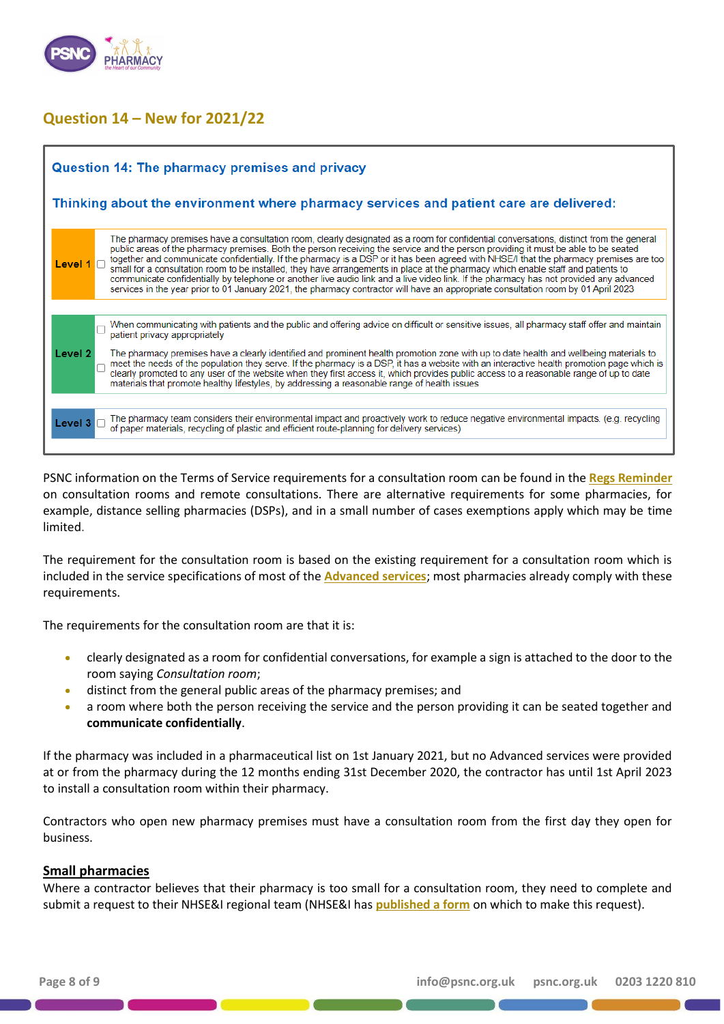

# <span id="page-7-0"></span>**Question 14 – New for 2021/22**

| Question 14: The pharmacy premises and privacy                                                                                                                                                                                                                                                                                                                                                                                                                                                                                                                                                                                                                                                                                                                                                                                                          |  |  |  |  |
|---------------------------------------------------------------------------------------------------------------------------------------------------------------------------------------------------------------------------------------------------------------------------------------------------------------------------------------------------------------------------------------------------------------------------------------------------------------------------------------------------------------------------------------------------------------------------------------------------------------------------------------------------------------------------------------------------------------------------------------------------------------------------------------------------------------------------------------------------------|--|--|--|--|
| Thinking about the environment where pharmacy services and patient care are delivered:                                                                                                                                                                                                                                                                                                                                                                                                                                                                                                                                                                                                                                                                                                                                                                  |  |  |  |  |
| The pharmacy premises have a consultation room, clearly designated as a room for confidential conversations, distinct from the general<br>public areas of the pharmacy premises. Both the person receiving the service and the person providing it must be able to be seated<br>together and communicate confidentially. If the pharmacy is a DSP or it has been agreed with NHSE/I that the pharmacy premises are too<br>Level 1<br>small for a consultation room to be installed, they have arrangements in place at the pharmacy which enable staff and patients to<br>communicate confidentially by telephone or another live audio link and a live video link. If the pharmacy has not provided any advanced<br>services in the year prior to 01 January 2021, the pharmacy contractor will have an appropriate consultation room by 01 April 2023 |  |  |  |  |
| When communicating with patients and the public and offering advice on difficult or sensitive issues, all pharmacy staff offer and maintain patient privacy appropriately<br>Level 2<br>The pharmacy premises have a clearly identified and prominent health promotion zone with up to date health and wellbeing materials to<br>meet the needs of the population they serve. If the pharmacy is a DSP, it has a website with an interactive health promotion page which is<br>clearly promoted to any user of the website when they first access it, which provides public access to a reasonable range of up to date<br>materials that promote healthy lifestyles, by addressing a reasonable range of health issues                                                                                                                                  |  |  |  |  |
| The pharmacy team considers their environmental impact and proactively work to reduce negative environmental impacts. (e.g. recycling<br>Level 3<br>of paper materials, recycling of plastic and efficient route-planning for delivery services)                                                                                                                                                                                                                                                                                                                                                                                                                                                                                                                                                                                                        |  |  |  |  |

PSNC information on the Terms of Service requirements for a consultation room can be found in the **[Regs Reminder](https://psnc.org.uk/our-news/regs-reminder-14-consultation-rooms-and-remote-consultations/)** on consultation rooms and remote consultations. There are alternative requirements for some pharmacies, for example, distance selling pharmacies (DSPs), and in a small number of cases exemptions apply which may be time limited.

The requirement for the consultation room is based on the existing requirement for a consultation room which is included in the service specifications of most of the **[Advanced services](https://psnc.org.uk/services-commissioning/advanced-services/)**; most pharmacies already comply with these requirements.

The requirements for the consultation room are that it is:

- clearly designated as a room for confidential conversations, for example a sign is attached to the door to the room saying *Consultation room*;
- distinct from the general public areas of the pharmacy premises; and
- a room where both the person receiving the service and the person providing it can be seated together and **communicate confidentially**.

If the pharmacy was included in a pharmaceutical list on 1st January 2021, but no Advanced services were provided at or from the pharmacy during the 12 months ending 31st December 2020, the contractor has until 1st April 2023 to install a consultation room within their pharmacy.

Contractors who open new pharmacy premises must have a consultation room from the first day they open for business.

#### **Small pharmacies**

Where a contractor believes that their pharmacy is too small for a consultation room, they need to complete and submit a request to their NHSE&I regional team (NHSE&I has **[published a form](https://www.england.nhs.uk/publication/pharmacy-regulations-guidance-forms/)** on which to make this request).